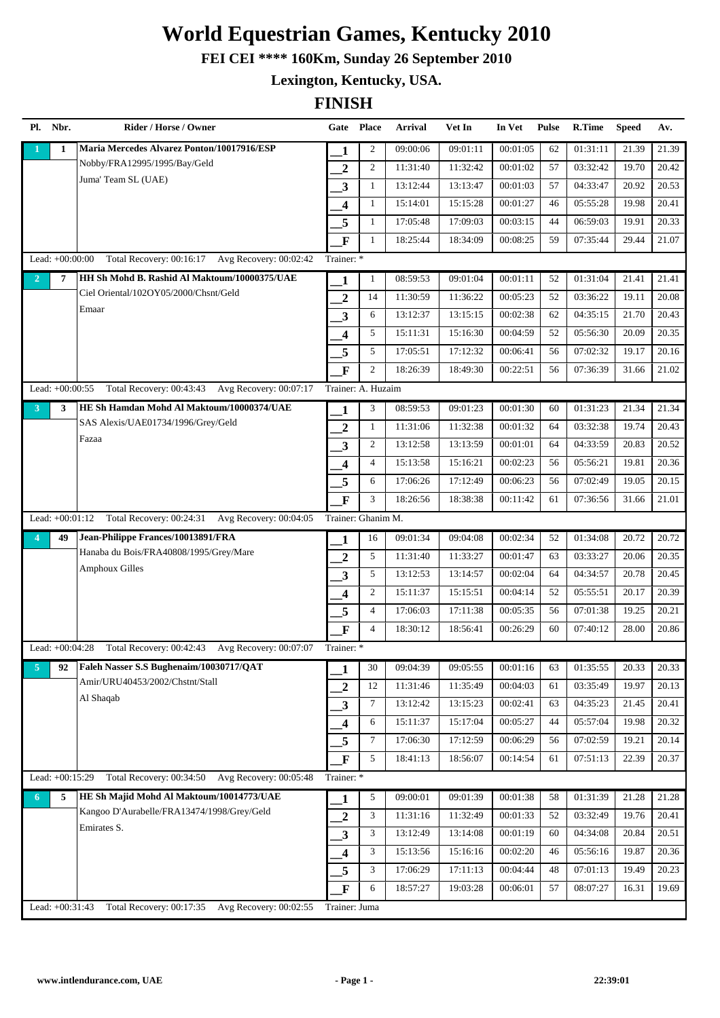**FEI CEI \*\*\*\* 160Km, Sunday 26 September 2010**

**Lexington, Kentucky, USA.**

|                | Pl. Nbr.          | Rider / Horse / Owner                           | Gate Place              |                | <b>Arrival</b> | Vet In   | In Vet   | <b>Pulse</b> | <b>R.Time</b> | <b>Speed</b> | Av.   |
|----------------|-------------------|-------------------------------------------------|-------------------------|----------------|----------------|----------|----------|--------------|---------------|--------------|-------|
|                | $\mathbf{1}$      | Maria Mercedes Alvarez Ponton/10017916/ESP      | 1                       | $\overline{c}$ | 09:00:06       | 09:01:11 | 00:01:05 | 62           | 01:31:11      | 21.39        | 21.39 |
|                |                   | Nobby/FRA12995/1995/Bay/Geld                    | $\boldsymbol{2}$        | $\overline{c}$ | 11:31:40       | 11:32:42 | 00:01:02 | 57           | 03:32:42      | 19.70        | 20.42 |
|                |                   | Juma' Team SL (UAE)                             | $\overline{\mathbf{3}}$ | $\mathbf{1}$   | 13:12:44       | 13:13:47 | 00:01:03 | 57           | 04:33:47      | 20.92        | 20.53 |
|                |                   |                                                 | $\overline{\mathbf{4}}$ | 1              | 15:14:01       | 15:15:28 | 00:01:27 | 46           | 05:55:28      | 19.98        | 20.41 |
|                |                   |                                                 | 5                       | $\mathbf{1}$   | 17:05:48       | 17:09:03 | 00:03:15 | 44           | 06:59:03      | 19.91        | 20.33 |
|                |                   |                                                 | $\mathbf F$             | 1              | 18:25:44       | 18:34:09 | 00:08:25 | 59           | 07:35:44      | 29.44        | 21.07 |
|                | Lead: +00:00:00   | Total Recovery: 00:16:17 Avg Recovery: 00:02:42 | Trainer: *              |                |                |          |          |              |               |              |       |
| $\overline{2}$ | 7                 | HH Sh Mohd B. Rashid Al Maktoum/10000375/UAE    | 1                       | 1              | 08:59:53       | 09:01:04 | 00:01:11 | 52           | 01:31:04      | 21.41        | 21.41 |
|                |                   | Ciel Oriental/102OY05/2000/Chsnt/Geld           | $\overline{2}$          | 14             | 11:30:59       | 11:36:22 | 00:05:23 | 52           | 03:36:22      | 19.11        | 20.08 |
|                |                   | Emaar                                           | 3                       | 6              | 13:12:37       | 13:15:15 | 00:02:38 | 62           | 04:35:15      | 21.70        | 20.43 |
|                |                   |                                                 | 4                       | 5              | 15:11:31       | 15:16:30 | 00:04:59 | 52           | 05:56:30      | 20.09        | 20.35 |
|                |                   |                                                 | 5                       | 5              | 17:05:51       | 17:12:32 | 00:06:41 | 56           | 07:02:32      | 19.17        | 20.16 |
|                |                   |                                                 | $\mathbf{F}$            | 2              | 18:26:39       | 18:49:30 | 00:22:51 | 56           | 07:36:39      | 31.66        | 21.02 |
|                | Lead: +00:00:55   | Total Recovery: 00:43:43 Avg Recovery: 00:07:17 | Trainer: A. Huzaim      |                |                |          |          |              |               |              |       |
| 3 <sup>1</sup> | 3                 | HE Sh Hamdan Mohd Al Maktoum/10000374/UAE       | 1                       | 3              | 08:59:53       | 09:01:23 | 00:01:30 | 60           | 01:31:23      | 21.34        | 21.34 |
|                |                   | SAS Alexis/UAE01734/1996/Grey/Geld              | $\overline{2}$          | $\mathbf{1}$   | 11:31:06       | 11:32:38 | 00:01:32 | 64           | 03:32:38      | 19.74        | 20.43 |
|                |                   | Fazaa                                           | 3                       | 2              | 13:12:58       | 13:13:59 | 00:01:01 | 64           | 04:33:59      | 20.83        | 20.52 |
|                |                   |                                                 | $\overline{\mathbf{4}}$ | $\overline{4}$ | 15:13:58       | 15:16:21 | 00:02:23 | 56           | 05:56:21      | 19.81        | 20.36 |
|                |                   |                                                 | 5                       | 6              | 17:06:26       | 17:12:49 | 00:06:23 | 56           | 07:02:49      | 19.05        | 20.15 |
|                |                   |                                                 | $\mathbf{F}$            | 3              | 18:26:56       | 18:38:38 | 00:11:42 | 61           | 07:36:56      | 31.66        | 21.01 |
|                | Lead: $+00:01:12$ | Total Recovery: 00:24:31 Avg Recovery: 00:04:05 | Trainer: Ghanim M.      |                |                |          |          |              |               |              |       |
| $\overline{4}$ | 49                | Jean-Philippe Frances/10013891/FRA              | 1                       | 16             | 09:01:34       | 09:04:08 | 00:02:34 | 52           | 01:34:08      | 20.72        | 20.72 |
|                |                   | Hanaba du Bois/FRA40808/1995/Grey/Mare          | $\overline{2}$          | 5              | 11:31:40       | 11:33:27 | 00:01:47 | 63           | 03:33:27      | 20.06        | 20.35 |
|                |                   | <b>Amphoux Gilles</b>                           | 3                       | 5              | 13:12:53       | 13:14:57 | 00:02:04 | 64           | 04:34:57      | 20.78        | 20.45 |
|                |                   |                                                 | 4                       | $\overline{c}$ | 15:11:37       | 15:15:51 | 00:04:14 | 52           | 05:55:51      | 20.17        | 20.39 |
|                |                   |                                                 | 5                       | $\overline{4}$ | 17:06:03       | 17:11:38 | 00:05:35 | 56           | 07:01:38      | 19.25        | 20.21 |
|                |                   |                                                 | $\mathbf F$             | $\overline{4}$ | 18:30:12       | 18:56:41 | 00:26:29 | 60           | 07:40:12      | 28.00        | 20.86 |
|                | Lead: $+00:04:28$ | Total Recovery: 00:42:43 Avg Recovery: 00:07:07 | Trainer: *              |                |                |          |          |              |               |              |       |
| $\overline{5}$ | 92                | Faleh Nasser S.S Bughenaim/10030717/QAT         | 1                       | 30             | 09:04:39       | 09:05:55 | 00:01:16 | 63           | 01:35:55      | 20.33        | 20.33 |
|                |                   | Amir/URU40453/2002/Chstnt/Stall                 | $\overline{2}$          | 12             | 11:31:46       | 11:35:49 | 00:04:03 | 61           | 03:35:49      | 19.97        | 20.13 |
|                |                   | Al Shaqab                                       | $\mathbf{3}$            | $\tau$         | 13:12:42       | 13:15:23 | 00:02:41 | 63           | 04:35:23      | 21.45        | 20.41 |
|                |                   |                                                 | $\overline{\mathbf{4}}$ | 6              | 15:11:37       | 15:17:04 | 00:05:27 | 44           | 05:57:04      | 19.98        | 20.32 |
|                |                   |                                                 | 5                       | $\tau$         | 17:06:30       | 17:12:59 | 00:06:29 | 56           | 07:02:59      | 19.21        | 20.14 |
|                |                   |                                                 | $\mathbf F$             | 5              | 18:41:13       | 18:56:07 | 00:14:54 | 61           | 07:51:13      | 22.39        | 20.37 |
|                | Lead: +00:15:29   | Total Recovery: 00:34:50 Avg Recovery: 00:05:48 | Trainer: *              |                |                |          |          |              |               |              |       |
| 6 <sup>1</sup> | 5                 | HE Sh Majid Mohd Al Maktoum/10014773/UAE        | 1                       | 5              | 09:00:01       | 09:01:39 | 00:01:38 | 58           | 01:31:39      | 21.28        | 21.28 |
|                |                   | Kangoo D'Aurabelle/FRA13474/1998/Grey/Geld      | $\boldsymbol{2}$        | 3              | 11:31:16       | 11:32:49 | 00:01:33 | 52           | 03:32:49      | 19.76        | 20.41 |
|                |                   | Emirates S.                                     | 3                       | 3              | 13:12:49       | 13:14:08 | 00:01:19 | 60           | 04:34:08      | 20.84        | 20.51 |
|                |                   |                                                 | $\overline{\mathbf{4}}$ | 3              | 15:13:56       | 15:16:16 | 00:02:20 | 46           | 05:56:16      | 19.87        | 20.36 |
|                |                   |                                                 | 5                       | 3              | 17:06:29       | 17:11:13 | 00:04:44 | 48           | 07:01:13      | 19.49        | 20.23 |
|                |                   |                                                 | $\mathbf{F}$            | 6              | 18:57:27       | 19:03:28 | 00:06:01 | 57           | 08:07:27      | 16.31        | 19.69 |
|                | Lead: +00:31:43   | Total Recovery: 00:17:35 Avg Recovery: 00:02:55 | Trainer: Juma           |                |                |          |          |              |               |              |       |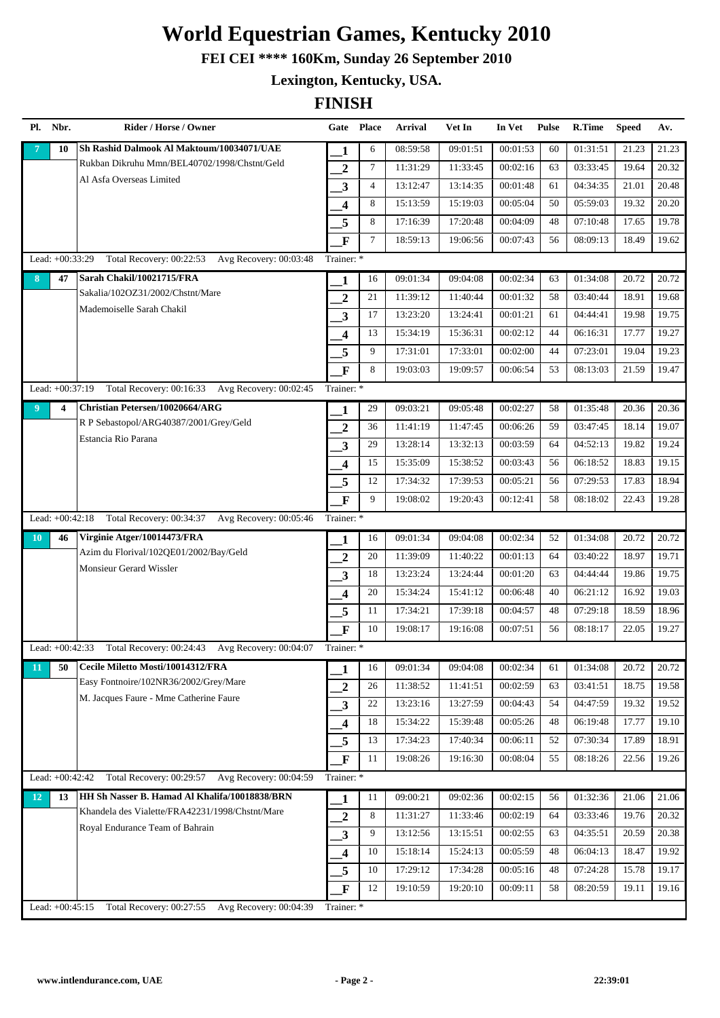**FEI CEI \*\*\*\* 160Km, Sunday 26 September 2010**

**Lexington, Kentucky, USA.**

| Pl.            | Nbr.              | Rider / Horse / Owner                              | Gate Place              |                 | <b>Arrival</b> | Vet In   | In Vet   | <b>Pulse</b> | <b>R.Time</b> | <b>Speed</b> | Av.   |
|----------------|-------------------|----------------------------------------------------|-------------------------|-----------------|----------------|----------|----------|--------------|---------------|--------------|-------|
|                | 10                | Sh Rashid Dalmook Al Maktoum/10034071/UAE          | 1                       | 6               | 08:59:58       | 09:01:51 | 00:01:53 | 60           | 01:31:51      | 21.23        | 21.23 |
|                |                   | Rukban Dikruhu Mmn/BEL40702/1998/Chstnt/Geld       | $\overline{2}$          | $7\phantom{.0}$ | 11:31:29       | 11:33:45 | 00:02:16 | 63           | 03:33:45      | 19.64        | 20.32 |
|                |                   | Al Asfa Overseas Limited                           | 3                       | $\overline{4}$  | 13:12:47       | 13:14:35 | 00:01:48 | 61           | 04:34:35      | 21.01        | 20.48 |
|                |                   |                                                    | 4                       | 8               | 15:13:59       | 15:19:03 | 00:05:04 | 50           | 05:59:03      | 19.32        | 20.20 |
|                |                   |                                                    | 5                       | 8               | 17:16:39       | 17:20:48 | 00:04:09 | 48           | 07:10:48      | 17.65        | 19.78 |
|                |                   |                                                    | $\mathbf{F}$            | $\tau$          | 18:59:13       | 19:06:56 | 00:07:43 | 56           | 08:09:13      | 18.49        | 19.62 |
|                | Lead: +00:33:29   | Total Recovery: 00:22:53 Avg Recovery: 00:03:48    | Trainer: *              |                 |                |          |          |              |               |              |       |
| 8              | 47                | Sarah Chakil/10021715/FRA                          | 1                       | 16              | 09:01:34       | 09:04:08 | 00:02:34 | 63           | 01:34:08      | 20.72        | 20.72 |
|                |                   | Sakalia/102OZ31/2002/Chstnt/Mare                   | $\overline{2}$          | 21              | 11:39:12       | 11:40:44 | 00:01:32 | 58           | 03:40:44      | 18.91        | 19.68 |
|                |                   | Mademoiselle Sarah Chakil                          | 3                       | 17              | 13:23:20       | 13:24:41 | 00:01:21 | 61           | 04:44:41      | 19.98        | 19.75 |
|                |                   |                                                    | $\overline{\mathbf{4}}$ | 13              | 15:34:19       | 15:36:31 | 00:02:12 | 44           | 06:16:31      | 17.77        | 19.27 |
|                |                   |                                                    | 5                       | 9               | 17:31:01       | 17:33:01 | 00:02:00 | 44           | 07:23:01      | 19.04        | 19.23 |
|                |                   |                                                    | $\mathbf{F}$            | 8               | 19:03:03       | 19:09:57 | 00:06:54 | 53           | 08:13:03      | 21.59        | 19.47 |
|                | Lead: $+00:37:19$ | Total Recovery: 00:16:33 Avg Recovery: 00:02:45    | Trainer: *              |                 |                |          |          |              |               |              |       |
| 9 <sup>°</sup> | 4                 | Christian Petersen/10020664/ARG                    | 1                       | 29              | 09:03:21       | 09:05:48 | 00:02:27 | 58           | 01:35:48      | 20.36        | 20.36 |
|                |                   | R P Sebastopol/ARG40387/2001/Grey/Geld             | $\overline{2}$          | 36              | 11:41:19       | 11:47:45 | 00:06:26 | 59           | 03:47:45      | 18.14        | 19.07 |
|                |                   | Estancia Rio Parana                                | 3                       | 29              | 13:28:14       | 13:32:13 | 00:03:59 | 64           | 04:52:13      | 19.82        | 19.24 |
|                |                   |                                                    | $\overline{\mathbf{4}}$ | 15              | 15:35:09       | 15:38:52 | 00:03:43 | 56           | 06:18:52      | 18.83        | 19.15 |
|                |                   |                                                    | 5                       | 12              | 17:34:32       | 17:39:53 | 00:05:21 | 56           | 07:29:53      | 17.83        | 18.94 |
|                |                   |                                                    | $\mathbf{F}$            | 9               | 19:08:02       | 19:20:43 | 00:12:41 | 58           | 08:18:02      | 22.43        | 19.28 |
|                | Lead: $+00:42:18$ | Total Recovery: 00:34:37<br>Avg Recovery: 00:05:46 | Trainer: *              |                 |                |          |          |              |               |              |       |
| 10             | 46                | Virginie Atger/10014473/FRA                        | 1                       | 16              | 09:01:34       | 09:04:08 | 00:02:34 | 52           | 01:34:08      | 20.72        | 20.72 |
|                |                   | Azim du Florival/102QE01/2002/Bay/Geld             | $\overline{2}$          | 20              | 11:39:09       | 11:40:22 | 00:01:13 | 64           | 03:40:22      | 18.97        | 19.71 |
|                |                   | Monsieur Gerard Wissler                            | 3                       | 18              | 13:23:24       | 13:24:44 | 00:01:20 | 63           | 04:44:44      | 19.86        | 19.75 |
|                |                   |                                                    | $\overline{\mathbf{4}}$ | 20              | 15:34:24       | 15:41:12 | 00:06:48 | 40           | 06:21:12      | 16.92        | 19.03 |
|                |                   |                                                    | 5                       | 11              | 17:34:21       | 17:39:18 | 00:04:57 | 48           | 07:29:18      | 18.59        | 18.96 |
|                |                   |                                                    | $\mathbf F$             | 10              | 19:08:17       | 19:16:08 | 00:07:51 | 56           | 08:18:17      | 22.05        | 19.27 |
|                | Lead: $+00:42:33$ | Total Recovery: 00:24:43 Avg Recovery: 00:04:07    | Trainer: *              |                 |                |          |          |              |               |              |       |
| 11             | 50                | Cecile Miletto Mosti/10014312/FRA                  | 1                       | 16              | 09:01:34       | 09:04:08 | 00:02:34 | 61           | 01:34:08      | 20.72        | 20.72 |
|                |                   | Easy Fontnoire/102NR36/2002/Grey/Mare              | $\boldsymbol{2}$        | 26              | 11:38:52       | 11:41:51 | 00:02:59 | 63           | 03:41:51      | 18.75        | 19.58 |
|                |                   | M. Jacques Faure - Mme Catherine Faure             | 3                       | 22              | 13:23:16       | 13:27:59 | 00:04:43 | 54           | 04:47:59      | 19.32        | 19.52 |
|                |                   |                                                    | $\overline{\mathbf{4}}$ | 18              | 15:34:22       | 15:39:48 | 00:05:26 | 48           | 06:19:48      | 17.77        | 19.10 |
|                |                   |                                                    | 5                       | 13              | 17:34:23       | 17:40:34 | 00:06:11 | 52           | 07:30:34      | 17.89        | 18.91 |
|                |                   |                                                    | $\mathbf{F}$            | 11              | 19:08:26       | 19:16:30 | 00:08:04 | 55           | 08:18:26      | 22.56        | 19.26 |
|                | Lead: +00:42:42   | Total Recovery: 00:29:57 Avg Recovery: 00:04:59    | Trainer: *              |                 |                |          |          |              |               |              |       |
| 12             | 13                | HH Sh Nasser B. Hamad Al Khalifa/10018838/BRN      | $\mathbf{1}$            | 11              | 09:00:21       | 09:02:36 | 00:02:15 | 56           | 01:32:36      | 21.06        | 21.06 |
|                |                   | Khandela des Vialette/FRA42231/1998/Chstnt/Mare    | $\boldsymbol{2}$        | 8               | 11:31:27       | 11:33:46 | 00:02:19 | 64           | 03:33:46      | 19.76        | 20.32 |
|                |                   | Royal Endurance Team of Bahrain                    | $\mathbf{3}$            | 9               | 13:12:56       | 13:15:51 | 00:02:55 | 63           | 04:35:51      | 20.59        | 20.38 |
|                |                   |                                                    | 4                       | 10              | 15:18:14       | 15:24:13 | 00:05:59 | 48           | 06:04:13      | 18.47        | 19.92 |
|                |                   |                                                    | 5                       | 10              | 17:29:12       | 17:34:28 | 00:05:16 | 48           | 07:24:28      | 15.78        | 19.17 |
|                |                   |                                                    | $\mathbf F$             | 12              | 19:10:59       | 19:20:10 | 00:09:11 | 58           | 08:20:59      | 19.11        | 19.16 |
|                | Lead: +00:45:15   | Total Recovery: 00:27:55 Avg Recovery: 00:04:39    | Trainer: *              |                 |                |          |          |              |               |              |       |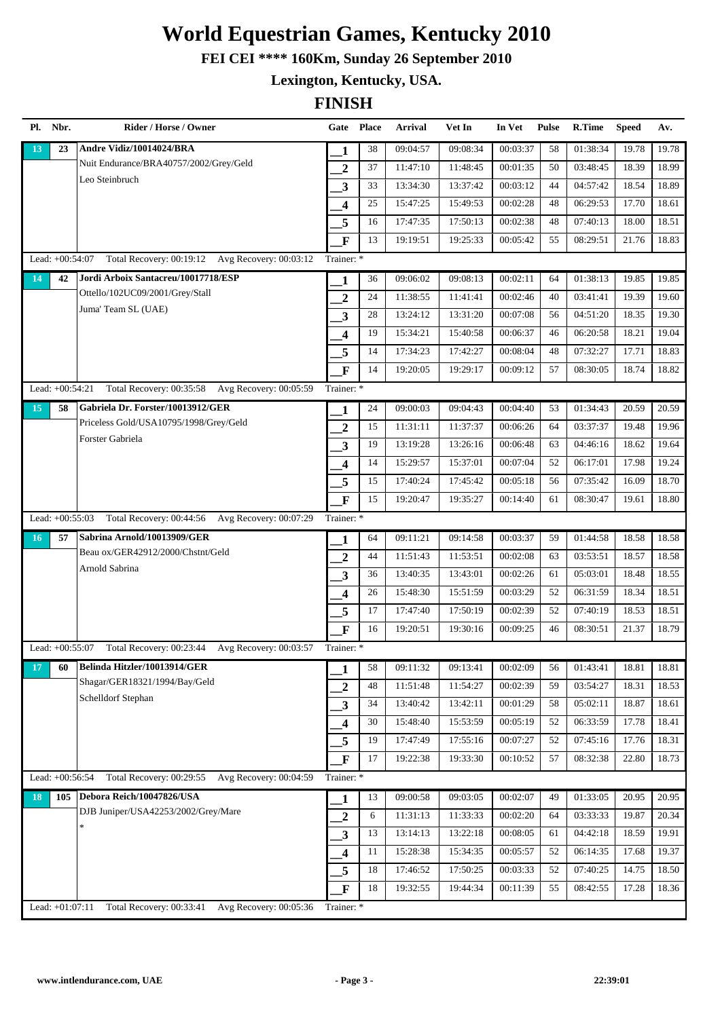**FEI CEI \*\*\*\* 160Km, Sunday 26 September 2010**

**Lexington, Kentucky, USA.**

| Pl. Nbr.          | Rider / Horse / Owner                              |                         | Gate Place | <b>Arrival</b> | Vet In   | In Vet   | <b>Pulse</b> | R.Time   | <b>Speed</b> | Av.   |
|-------------------|----------------------------------------------------|-------------------------|------------|----------------|----------|----------|--------------|----------|--------------|-------|
| 23<br>13          | Andre Vidiz/10014024/BRA                           | 1                       | 38         | 09:04:57       | 09:08:34 | 00:03:37 | 58           | 01:38:34 | 19.78        | 19.78 |
|                   | Nuit Endurance/BRA40757/2002/Grey/Geld             | $\boldsymbol{2}$        | 37         | 11:47:10       | 11:48:45 | 00:01:35 | 50           | 03:48:45 | 18.39        | 18.99 |
|                   | Leo Steinbruch                                     | $\overline{\mathbf{3}}$ | 33         | 13:34:30       | 13:37:42 | 00:03:12 | 44           | 04:57:42 | 18.54        | 18.89 |
|                   |                                                    | $\overline{\mathbf{4}}$ | 25         | 15:47:25       | 15:49:53 | 00:02:28 | 48           | 06:29:53 | 17.70        | 18.61 |
|                   |                                                    | 5                       | 16         | 17:47:35       | 17:50:13 | 00:02:38 | 48           | 07:40:13 | 18.00        | 18.51 |
|                   |                                                    | F                       | 13         | 19:19:51       | 19:25:33 | 00:05:42 | 55           | 08:29:51 | 21.76        | 18.83 |
| Lead: +00:54:07   | Total Recovery: 00:19:12 Avg Recovery: 00:03:12    | Trainer: *              |            |                |          |          |              |          |              |       |
| 42<br>14          | Jordi Arboix Santacreu/10017718/ESP                | 1                       | 36         | 09:06:02       | 09:08:13 | 00:02:11 | 64           | 01:38:13 | 19.85        | 19.85 |
|                   | Ottello/102UC09/2001/Grey/Stall                    | $\overline{2}$          | 24         | 11:38:55       | 11:41:41 | 00:02:46 | 40           | 03:41:41 | 19.39        | 19.60 |
|                   | Juma' Team SL (UAE)                                | $\mathbf{3}$            | 28         | 13:24:12       | 13:31:20 | 00:07:08 | 56           | 04:51:20 | 18.35        | 19.30 |
|                   |                                                    | $\overline{\mathbf{4}}$ | 19         | 15:34:21       | 15:40:58 | 00:06:37 | 46           | 06:20:58 | 18.21        | 19.04 |
|                   |                                                    | 5                       | 14         | 17:34:23       | 17:42:27 | 00:08:04 | 48           | 07:32:27 | 17.71        | 18.83 |
|                   |                                                    | $\mathbf{F}$            | 14         | 19:20:05       | 19:29:17 | 00:09:12 | 57           | 08:30:05 | 18.74        | 18.82 |
| Lead: $+00:54:21$ | Total Recovery: 00:35:58 Avg Recovery: 00:05:59    | Trainer: *              |            |                |          |          |              |          |              |       |
| 15<br>58          | Gabriela Dr. Forster/10013912/GER                  | 1                       | 24         | 09:00:03       | 09:04:43 | 00:04:40 | 53           | 01:34:43 | 20.59        | 20.59 |
|                   | Priceless Gold/USA10795/1998/Grey/Geld             | $\overline{2}$          | 15         | 11:31:11       | 11:37:37 | 00:06:26 | 64           | 03:37:37 | 19.48        | 19.96 |
|                   | Forster Gabriela                                   | $\mathbf{3}$            | 19         | 13:19:28       | 13:26:16 | 00:06:48 | 63           | 04:46:16 | 18.62        | 19.64 |
|                   |                                                    | $\boldsymbol{4}$        | 14         | 15:29:57       | 15:37:01 | 00:07:04 | 52           | 06:17:01 | 17.98        | 19.24 |
|                   |                                                    | 5                       | 15         | 17:40:24       | 17:45:42 | 00:05:18 | 56           | 07:35:42 | 16.09        | 18.70 |
|                   |                                                    | $\mathbf{F}$            | 15         | 19:20:47       | 19:35:27 | 00:14:40 | 61           | 08:30:47 | 19.61        | 18.80 |
| Lead: +00:55:03   | Total Recovery: 00:44:56 Avg Recovery: 00:07:29    | Trainer: *              |            |                |          |          |              |          |              |       |
| 57<br>16          | Sabrina Arnold/10013909/GER                        | 1                       | 64         | 09:11:21       | 09:14:58 | 00:03:37 | 59           | 01:44:58 | 18.58        | 18.58 |
|                   | Beau ox/GER42912/2000/Chstnt/Geld                  | $\overline{2}$          | 44         | 11:51:43       | 11:53:51 | 00:02:08 | 63           | 03:53:51 | 18.57        | 18.58 |
|                   | Arnold Sabrina                                     | 3                       | 36         | 13:40:35       | 13:43:01 | 00:02:26 | 61           | 05:03:01 | 18.48        | 18.55 |
|                   |                                                    | $\overline{\mathbf{4}}$ | 26         | 15:48:30       | 15:51:59 | 00:03:29 | 52           | 06:31:59 | 18.34        | 18.51 |
|                   |                                                    | 5                       | 17         | 17:47:40       | 17:50:19 | 00:02:39 | 52           | 07:40:19 | 18.53        | 18.51 |
|                   |                                                    | $\overline{\mathbf{F}}$ | 16         | 19:20:51       | 19:30:16 | 00:09:25 | 46           | 08:30:51 | 21.37        | 18.79 |
| Lead: +00:55:07   | Total Recovery: 00:23:44 Avg Recovery: 00:03:57    | Trainer: *              |            |                |          |          |              |          |              |       |
| 17<br>60          | Belinda Hitzler/10013914/GER                       | 1                       | 58         | 09:11:32       | 09:13:41 | 00:02:09 | 56           | 01:43:41 | 18.81        | 18.81 |
|                   | Shagar/GER18321/1994/Bay/Geld                      | $\overline{2}$          | 48         | 11:51:48       | 11:54:27 | 00:02:39 | 59           | 03:54:27 | 18.31        | 18.53 |
|                   | Schelldorf Stephan                                 | 3                       | 34         | 13:40:42       | 13:42:11 | 00:01:29 | 58           | 05:02:11 | 18.87        | 18.61 |
|                   |                                                    | $\overline{\mathbf{4}}$ | 30         | 15:48:40       | 15:53:59 | 00:05:19 | 52           | 06:33:59 | 17.78        | 18.41 |
|                   |                                                    | 5                       | 19         | 17:47:49       | 17:55:16 | 00:07:27 | 52           | 07:45:16 | 17.76        | 18.31 |
|                   |                                                    | $\mathbf{F}$            | 17         | 19:22:38       | 19:33:30 | 00:10:52 | 57           | 08:32:38 | 22.80        | 18.73 |
| Lead: +00:56:54   | Total Recovery: 00:29:55<br>Avg Recovery: 00:04:59 | Trainer: *              |            |                |          |          |              |          |              |       |
| 105<br>18         | Debora Reich/10047826/USA                          | 1                       | 13         | 09:00:58       | 09:03:05 | 00:02:07 | 49           | 01:33:05 | 20.95        | 20.95 |
|                   | DJB Juniper/USA42253/2002/Grey/Mare                | $\overline{2}$          | 6          | 11:31:13       | 11:33:33 | 00:02:20 | 64           | 03:33:33 | 19.87        | 20.34 |
|                   |                                                    | $\mathbf{3}$            | 13         | 13:14:13       | 13:22:18 | 00:08:05 | 61           | 04:42:18 | 18.59        | 19.91 |
|                   |                                                    | $\boldsymbol{4}$        | 11         | 15:28:38       | 15:34:35 | 00:05:57 | 52           | 06:14:35 | 17.68        | 19.37 |
|                   |                                                    | 5                       | 18         | 17:46:52       | 17:50:25 | 00:03:33 | 52           | 07:40:25 | 14.75        | 18.50 |
|                   |                                                    | $\overline{\mathbf{F}}$ | 18         | 19:32:55       | 19:44:34 | 00:11:39 | 55           | 08:42:55 | 17.28        | 18.36 |
| Lead: +01:07:11   | Avg Recovery: 00:05:36<br>Total Recovery: 00:33:41 | Trainer: *              |            |                |          |          |              |          |              |       |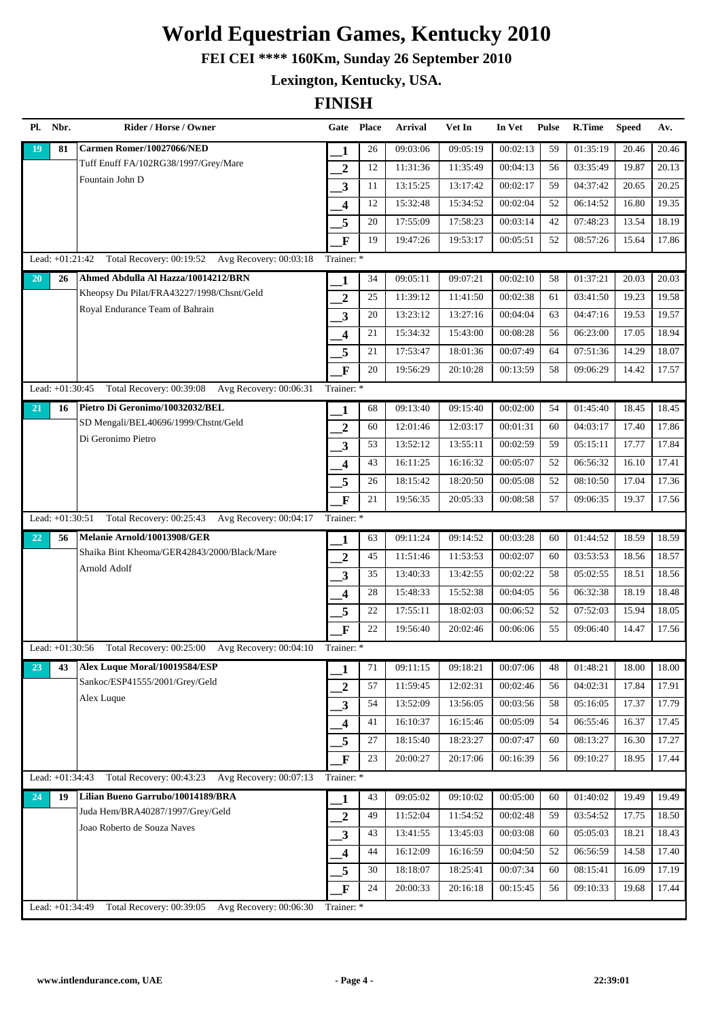**FEI CEI \*\*\*\* 160Km, Sunday 26 September 2010**

**Lexington, Kentucky, USA.**

| Pl. | Nbr.            | Rider / Horse / Owner                              | Gate Place              |    | Arrival  | Vet In   | In Vet   | <b>Pulse</b> | R.Time   | <b>Speed</b> | Av.   |
|-----|-----------------|----------------------------------------------------|-------------------------|----|----------|----------|----------|--------------|----------|--------------|-------|
| 19  | 81              | Carmen Romer/10027066/NED                          | 1                       | 26 | 09:03:06 | 09:05:19 | 00:02:13 | 59           | 01:35:19 | 20.46        | 20.46 |
|     |                 | Tuff Enuff FA/102RG38/1997/Grey/Mare               | 2                       | 12 | 11:31:36 | 11:35:49 | 00:04:13 | 56           | 03:35:49 | 19.87        | 20.13 |
|     |                 | Fountain John D                                    | 3                       | 11 | 13:15:25 | 13:17:42 | 00:02:17 | 59           | 04:37:42 | 20.65        | 20.25 |
|     |                 |                                                    | 4                       | 12 | 15:32:48 | 15:34:52 | 00:02:04 | 52           | 06:14:52 | 16.80        | 19.35 |
|     |                 |                                                    | 5                       | 20 | 17:55:09 | 17:58:23 | 00:03:14 | 42           | 07:48:23 | 13.54        | 18.19 |
|     |                 |                                                    | $\mathbf F$             | 19 | 19:47:26 | 19:53:17 | 00:05:51 | 52           | 08:57:26 | 15.64        | 17.86 |
|     | Lead: +01:21:42 | Total Recovery: 00:19:52 Avg Recovery: 00:03:18    | Trainer: *              |    |          |          |          |              |          |              |       |
| 20  | 26              | Ahmed Abdulla Al Hazza/10014212/BRN                | 1                       | 34 | 09:05:11 | 09:07:21 | 00:02:10 | 58           | 01:37:21 | 20.03        | 20.03 |
|     |                 | Kheopsy Du Pilat/FRA43227/1998/Chsnt/Geld          | $\overline{2}$          | 25 | 11:39:12 | 11:41:50 | 00:02:38 | 61           | 03:41:50 | 19.23        | 19.58 |
|     |                 | Royal Endurance Team of Bahrain                    | $\overline{\mathbf{3}}$ | 20 | 13:23:12 | 13:27:16 | 00:04:04 | 63           | 04:47:16 | 19.53        | 19.57 |
|     |                 |                                                    | 4                       | 21 | 15:34:32 | 15:43:00 | 00:08:28 | 56           | 06:23:00 | 17.05        | 18.94 |
|     |                 |                                                    | 5                       | 21 | 17:53:47 | 18:01:36 | 00:07:49 | 64           | 07:51:36 | 14.29        | 18.07 |
|     |                 |                                                    | $\mathbf F$             | 20 | 19:56:29 | 20:10:28 | 00:13:59 | 58           | 09:06:29 | 14.42        | 17.57 |
|     | Lead: +01:30:45 | Total Recovery: 00:39:08 Avg Recovery: 00:06:31    | Trainer: *              |    |          |          |          |              |          |              |       |
| 21  | 16              | Pietro Di Geronimo/10032032/BEL                    | 1                       | 68 | 09:13:40 | 09:15:40 | 00:02:00 | 54           | 01:45:40 | 18.45        | 18.45 |
|     |                 | SD Mengali/BEL40696/1999/Chstnt/Geld               | $\overline{2}$          | 60 | 12:01:46 | 12:03:17 | 00:01:31 | 60           | 04:03:17 | 17.40        | 17.86 |
|     |                 | Di Geronimo Pietro                                 | 3                       | 53 | 13:52:12 | 13:55:11 | 00:02:59 | 59           | 05:15:11 | 17.77        | 17.84 |
|     |                 |                                                    | 4                       | 43 | 16:11:25 | 16:16:32 | 00:05:07 | 52           | 06:56:32 | 16.10        | 17.41 |
|     |                 |                                                    | 5                       | 26 | 18:15:42 | 18:20:50 | 00:05:08 | 52           | 08:10:50 | 17.04        | 17.36 |
|     |                 |                                                    | $\mathbf{F}$            | 21 | 19:56:35 | 20:05:33 | 00:08:58 | 57           | 09:06:35 | 19.37        | 17.56 |
|     | Lead: +01:30:51 | Total Recovery: 00:25:43 Avg Recovery: 00:04:17    | Trainer: *              |    |          |          |          |              |          |              |       |
| 22  | 56              | Melanie Arnold/10013908/GER                        | 1                       | 63 | 09:11:24 | 09:14:52 | 00:03:28 | 60           | 01:44:52 | 18.59        | 18.59 |
|     |                 | Shaika Bint Kheoma/GER42843/2000/Black/Mare        | $\overline{2}$          | 45 | 11:51:46 | 11:53:53 | 00:02:07 | 60           | 03:53:53 | 18.56        | 18.57 |
|     |                 | Arnold Adolf                                       | 3                       | 35 | 13:40:33 | 13:42:55 | 00:02:22 | 58           | 05:02:55 | 18.51        | 18.56 |
|     |                 |                                                    | $\overline{\mathbf{4}}$ | 28 | 15:48:33 | 15:52:38 | 00:04:05 | 56           | 06:32:38 | 18.19        | 18.48 |
|     |                 |                                                    | 5                       | 22 | 17:55:11 | 18:02:03 | 00:06:52 | 52           | 07:52:03 | 15.94        | 18.05 |
|     |                 |                                                    | $\mathbf{F}$            | 22 | 19:56:40 | 20:02:46 | 00:06:06 | 55           | 09:06:40 | 14.47        | 17.56 |
|     | Lead: +01:30:56 | Total Recovery: 00:25:00 Avg Recovery: 00:04:10    | Trainer: *              |    |          |          |          |              |          |              |       |
| 23  | 43              | Alex Luque Moral/10019584/ESP                      | 1                       | 71 | 09:11:15 | 09:18:21 | 00:07:06 | 48           | 01:48:21 | 18.00        | 18.00 |
|     |                 | Sankoc/ESP41555/2001/Grey/Geld                     | $\overline{2}$          | 57 | 11:59:45 | 12:02:31 | 00:02:46 | 56           | 04:02:31 | 17.84        | 17.91 |
|     |                 | Alex Luque                                         | 3                       | 54 | 13:52:09 | 13:56:05 | 00:03:56 | 58           | 05:16:05 | 17.37        | 17.79 |
|     |                 |                                                    | $\overline{\mathbf{4}}$ | 41 | 16:10:37 | 16:15:46 | 00:05:09 | 54           | 06:55:46 | 16.37        | 17.45 |
|     |                 |                                                    | 5                       | 27 | 18:15:40 | 18:23:27 | 00:07:47 | 60           | 08:13:27 | 16.30        | 17.27 |
|     |                 |                                                    | $\mathbf F$             | 23 | 20:00:27 | 20:17:06 | 00:16:39 | 56           | 09:10:27 | 18.95        | 17.44 |
|     | Lead: +01:34:43 | Total Recovery: 00:43:23 Avg Recovery: 00:07:13    | Trainer: *              |    |          |          |          |              |          |              |       |
| 24  | 19              | Lilian Bueno Garrubo/10014189/BRA                  | 1                       | 43 | 09:05:02 | 09:10:02 | 00:05:00 | 60           | 01:40:02 | 19.49        | 19.49 |
|     |                 | Juda Hem/BRA40287/1997/Grey/Geld                   | $\overline{2}$          | 49 | 11:52:04 | 11:54:52 | 00:02:48 | 59           | 03:54:52 | 17.75        | 18.50 |
|     |                 | Joao Roberto de Souza Naves                        | 3                       | 43 | 13:41:55 | 13:45:03 | 00:03:08 | 60           | 05:05:03 | 18.21        | 18.43 |
|     |                 |                                                    | $\overline{\mathbf{4}}$ | 44 | 16:12:09 | 16:16:59 | 00:04:50 | 52           | 06:56:59 | 14.58        | 17.40 |
|     |                 |                                                    | 5                       | 30 | 18:18:07 | 18:25:41 | 00:07:34 | 60           | 08:15:41 | 16.09        | 17.19 |
|     |                 |                                                    | $\mathbf F$             | 24 | 20:00:33 | 20:16:18 | 00:15:45 | 56           | 09:10:33 | 19.68        | 17.44 |
|     | Lead: +01:34:49 | Total Recovery: 00:39:05<br>Avg Recovery: 00:06:30 | Trainer: *              |    |          |          |          |              |          |              |       |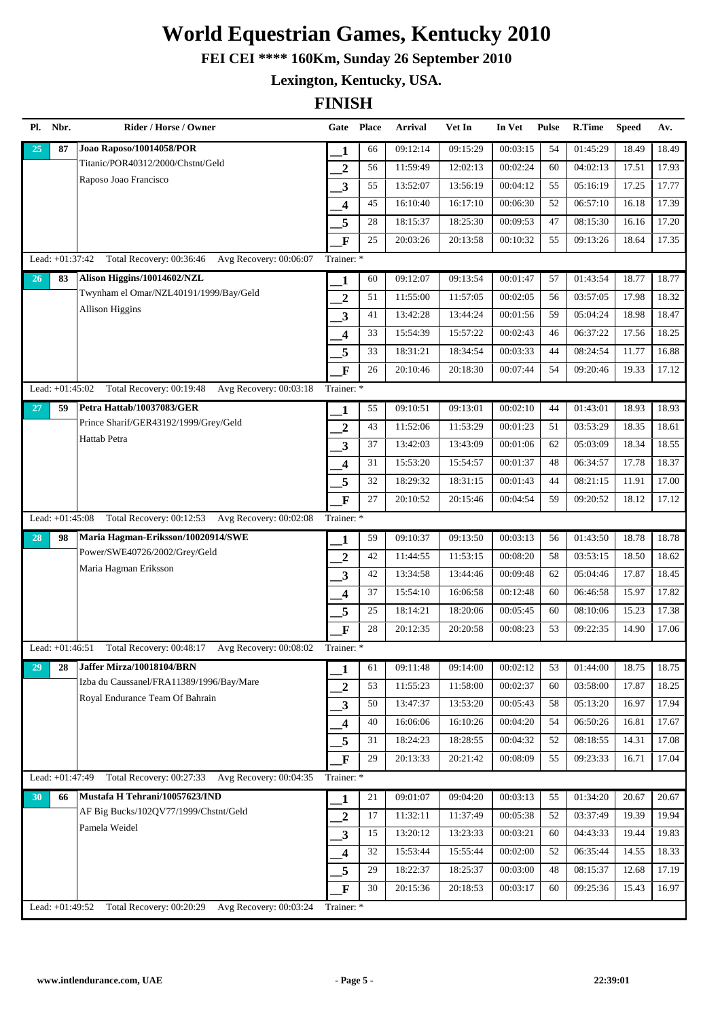**FEI CEI \*\*\*\* 160Km, Sunday 26 September 2010**

**Lexington, Kentucky, USA.**

| Pl. | Nbr.              | Rider / Horse / Owner                              | Gate Place              |    | <b>Arrival</b>        | Vet In   | In Vet   | <b>Pulse</b> | R.Time   | <b>Speed</b> | Av.   |
|-----|-------------------|----------------------------------------------------|-------------------------|----|-----------------------|----------|----------|--------------|----------|--------------|-------|
| 25  | 87                | Joao Raposo/10014058/POR                           | 1                       | 66 | 09:12:14              | 09:15:29 | 00:03:15 | 54           | 01:45:29 | 18.49        | 18.49 |
|     |                   | Titanic/POR40312/2000/Chstnt/Geld                  | $\overline{2}$          | 56 | 11:59:49              | 12:02:13 | 00:02:24 | 60           | 04:02:13 | 17.51        | 17.93 |
|     |                   | Raposo Joao Francisco                              | 3                       | 55 | 13:52:07              | 13:56:19 | 00:04:12 | 55           | 05:16:19 | 17.25        | 17.77 |
|     |                   |                                                    | $\overline{\mathbf{4}}$ | 45 | 16:10:40              | 16:17:10 | 00:06:30 | 52           | 06:57:10 | 16.18        | 17.39 |
|     |                   |                                                    | 5                       | 28 | 18:15:37              | 18:25:30 | 00:09:53 | 47           | 08:15:30 | 16.16        | 17.20 |
|     |                   |                                                    | $\mathbf F$             | 25 | 20:03:26              | 20:13:58 | 00:10:32 | 55           | 09:13:26 | 18.64        | 17.35 |
|     | Lead: +01:37:42   | Total Recovery: 00:36:46<br>Avg Recovery: 00:06:07 | Trainer: *              |    |                       |          |          |              |          |              |       |
| 26  | 83                | Alison Higgins/10014602/NZL                        | 1                       | 60 | $\overline{09:12:07}$ | 09:13:54 | 00:01:47 | 57           | 01:43:54 | 18.77        | 18.77 |
|     |                   | Twynham el Omar/NZL40191/1999/Bay/Geld             | $\overline{2}$          | 51 | 11:55:00              | 11:57:05 | 00:02:05 | 56           | 03:57:05 | 17.98        | 18.32 |
|     |                   | <b>Allison Higgins</b>                             | 3                       | 41 | 13:42:28              | 13:44:24 | 00:01:56 | 59           | 05:04:24 | 18.98        | 18.47 |
|     |                   |                                                    | 4                       | 33 | 15:54:39              | 15:57:22 | 00:02:43 | 46           | 06:37:22 | 17.56        | 18.25 |
|     |                   |                                                    | 5                       | 33 | 18:31:21              | 18:34:54 | 00:03:33 | 44           | 08:24:54 | 11.77        | 16.88 |
|     |                   |                                                    | F                       | 26 | 20:10:46              | 20:18:30 | 00:07:44 | 54           | 09:20:46 | 19.33        | 17.12 |
|     | Lead: $+01:45:02$ | Total Recovery: 00:19:48<br>Avg Recovery: 00:03:18 | Trainer: *              |    |                       |          |          |              |          |              |       |
| 27  | 59                | Petra Hattab/10037083/GER                          | 1                       | 55 | 09:10:51              | 09:13:01 | 00:02:10 | 44           | 01:43:01 | 18.93        | 18.93 |
|     |                   | Prince Sharif/GER43192/1999/Grey/Geld              | $\overline{2}$          | 43 | 11:52:06              | 11:53:29 | 00:01:23 | 51           | 03:53:29 | 18.35        | 18.61 |
|     |                   | Hattab Petra                                       | 3                       | 37 | 13:42:03              | 13:43:09 | 00:01:06 | 62           | 05:03:09 | 18.34        | 18.55 |
|     |                   |                                                    | 4                       | 31 | 15:53:20              | 15:54:57 | 00:01:37 | 48           | 06:34:57 | 17.78        | 18.37 |
|     |                   |                                                    | 5                       | 32 | 18:29:32              | 18:31:15 | 00:01:43 | 44           | 08:21:15 | 11.91        | 17.00 |
|     |                   |                                                    | F                       | 27 | 20:10:52              | 20:15:46 | 00:04:54 | 59           | 09:20:52 | 18.12        | 17.12 |
|     | Lead: +01:45:08   | Total Recovery: 00:12:53 Avg Recovery: 00:02:08    | Trainer: *              |    |                       |          |          |              |          |              |       |
| 28  | 98                | Maria Hagman-Eriksson/10020914/SWE                 | 1                       | 59 | 09:10:37              | 09:13:50 | 00:03:13 | 56           | 01:43:50 | 18.78        | 18.78 |
|     |                   | Power/SWE40726/2002/Grey/Geld                      | $\overline{2}$          | 42 | 11:44:55              | 11:53:15 | 00:08:20 | 58           | 03:53:15 | 18.50        | 18.62 |
|     |                   | Maria Hagman Eriksson                              | 3                       | 42 | 13:34:58              | 13:44:46 | 00:09:48 | 62           | 05:04:46 | 17.87        | 18.45 |
|     |                   |                                                    | 4                       | 37 | 15:54:10              | 16:06:58 | 00:12:48 | 60           | 06:46:58 | 15.97        | 17.82 |
|     |                   |                                                    | 5                       | 25 | 18:14:21              | 18:20:06 | 00:05:45 | 60           | 08:10:06 | 15.23        | 17.38 |
|     |                   |                                                    | $\mathbf{F}$            | 28 | 20:12:35              | 20:20:58 | 00:08:23 | 53           | 09:22:35 | 14.90        | 17.06 |
|     | Lead: $+01:46:51$ | Total Recovery: 00:48:17<br>Avg Recovery: 00:08:02 | Trainer: *              |    |                       |          |          |              |          |              |       |
| 29  | 28                | Jaffer Mirza/10018104/BRN                          | 1                       | 61 | 09:11:48              | 09:14:00 | 00:02:12 | 53           | 01:44:00 | 18.75        | 18.75 |
|     |                   | Izba du Caussanel/FRA11389/1996/Bay/Mare           | $\overline{2}$          | 53 | 11:55:23              | 11:58:00 | 00:02:37 | 60           | 03:58:00 | 17.87        | 18.25 |
|     |                   | Royal Endurance Team Of Bahrain                    | 3                       | 50 | 13:47:37              | 13:53:20 | 00:05:43 | 58           | 05:13:20 | 16.97        | 17.94 |
|     |                   |                                                    | 4                       | 40 | 16:06:06              | 16:10:26 | 00:04:20 | 54           | 06:50:26 | 16.81        | 17.67 |
|     |                   |                                                    | 5                       | 31 | 18:24:23              | 18:28:55 | 00:04:32 | 52           | 08:18:55 | 14.31        | 17.08 |
|     |                   |                                                    | $\mathbf F$             | 29 | 20:13:33              | 20:21:42 | 00:08:09 | 55           | 09:23:33 | 16.71        | 17.04 |
|     | Lead: $+01:47:49$ | Total Recovery: 00:27:33 Avg Recovery: 00:04:35    | Trainer: *              |    |                       |          |          |              |          |              |       |
| 30  | 66                | Mustafa H Tehrani/10057623/IND                     | 1                       | 21 | 09:01:07              | 09:04:20 | 00:03:13 | 55           | 01:34:20 | 20.67        | 20.67 |
|     |                   | AF Big Bucks/102QV77/1999/Chstnt/Geld              | $\overline{2}$          | 17 | 11:32:11              | 11:37:49 | 00:05:38 | 52           | 03:37:49 | 19.39        | 19.94 |
|     |                   | Pamela Weidel                                      | 3                       | 15 | 13:20:12              | 13:23:33 | 00:03:21 | 60           | 04:43:33 | 19.44        | 19.83 |
|     |                   |                                                    | $\overline{\mathbf{4}}$ | 32 | 15:53:44              | 15:55:44 | 00:02:00 | 52           | 06:35:44 | 14.55        | 18.33 |
|     |                   |                                                    | 5                       | 29 | 18:22:37              | 18:25:37 | 00:03:00 | 48           | 08:15:37 | 12.68        | 17.19 |
|     |                   |                                                    | $\mathbf{F}$            | 30 | 20:15:36              | 20:18:53 | 00:03:17 | 60           | 09:25:36 | 15.43        | 16.97 |
|     | Lead: +01:49:52   | Total Recovery: 00:20:29<br>Avg Recovery: 00:03:24 | Trainer: *              |    |                       |          |          |              |          |              |       |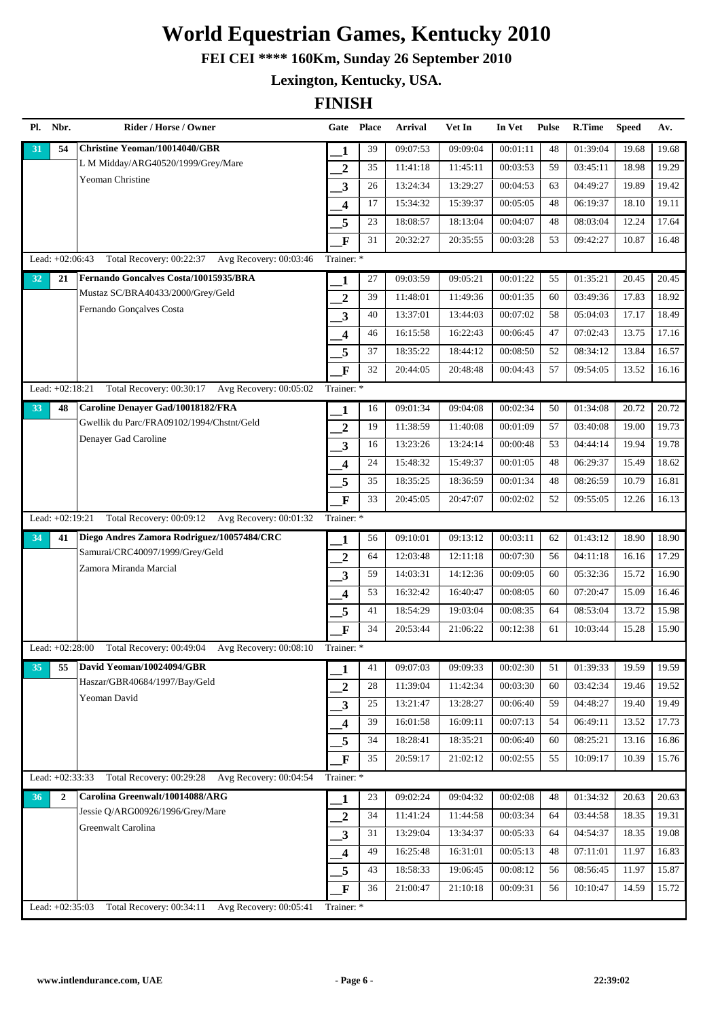**FEI CEI \*\*\*\* 160Km, Sunday 26 September 2010**

**Lexington, Kentucky, USA.**

|    | Pl. Nbr.        | Rider / Horse / Owner                              | Gate Place              |    | <b>Arrival</b> | Vet In   | In Vet   | <b>Pulse</b> | R.Time   | <b>Speed</b> | Av.   |
|----|-----------------|----------------------------------------------------|-------------------------|----|----------------|----------|----------|--------------|----------|--------------|-------|
| 31 | 54              | Christine Yeoman/10014040/GBR                      | 1                       | 39 | 09:07:53       | 09:09:04 | 00:01:11 | 48           | 01:39:04 | 19.68        | 19.68 |
|    |                 | L M Midday/ARG40520/1999/Grey/Mare                 | $\boldsymbol{2}$        | 35 | 11:41:18       | 11:45:11 | 00:03:53 | 59           | 03:45:11 | 18.98        | 19.29 |
|    |                 | Yeoman Christine                                   | $\overline{\mathbf{3}}$ | 26 | 13:24:34       | 13:29:27 | 00:04:53 | 63           | 04:49:27 | 19.89        | 19.42 |
|    |                 |                                                    | 4                       | 17 | 15:34:32       | 15:39:37 | 00:05:05 | 48           | 06:19:37 | 18.10        | 19.11 |
|    |                 |                                                    | 5                       | 23 | 18:08:57       | 18:13:04 | 00:04:07 | 48           | 08:03:04 | 12.24        | 17.64 |
|    |                 |                                                    | F                       | 31 | 20:32:27       | 20:35:55 | 00:03:28 | 53           | 09:42:27 | 10.87        | 16.48 |
|    | Lead: +02:06:43 | Total Recovery: 00:22:37 Avg Recovery: 00:03:46    | Trainer: *              |    |                |          |          |              |          |              |       |
| 32 | 21              | Fernando Goncalves Costa/10015935/BRA              | 1                       | 27 | 09:03:59       | 09:05:21 | 00:01:22 | 55           | 01:35:21 | 20.45        | 20.45 |
|    |                 | Mustaz SC/BRA40433/2000/Grey/Geld                  | $\overline{2}$          | 39 | 11:48:01       | 11:49:36 | 00:01:35 | 60           | 03:49:36 | 17.83        | 18.92 |
|    |                 | Fernando Gonçalves Costa                           | $\mathbf{3}$            | 40 | 13:37:01       | 13:44:03 | 00:07:02 | 58           | 05:04:03 | 17.17        | 18.49 |
|    |                 |                                                    | $\overline{\mathbf{4}}$ | 46 | 16:15:58       | 16:22:43 | 00:06:45 | 47           | 07:02:43 | 13.75        | 17.16 |
|    |                 |                                                    | 5                       | 37 | 18:35:22       | 18:44:12 | 00:08:50 | 52           | 08:34:12 | 13.84        | 16.57 |
|    |                 |                                                    | $\overline{\mathbf{F}}$ | 32 | 20:44:05       | 20:48:48 | 00:04:43 | 57           | 09:54:05 | 13.52        | 16.16 |
|    | Lead: +02:18:21 | Total Recovery: 00:30:17 Avg Recovery: 00:05:02    | Trainer: *              |    |                |          |          |              |          |              |       |
| 33 | 48              | Caroline Denayer Gad/10018182/FRA                  | 1                       | 16 | 09:01:34       | 09:04:08 | 00:02:34 | 50           | 01:34:08 | 20.72        | 20.72 |
|    |                 | Gwellik du Parc/FRA09102/1994/Chstnt/Geld          | $\overline{2}$          | 19 | 11:38:59       | 11:40:08 | 00:01:09 | 57           | 03:40:08 | 19.00        | 19.73 |
|    |                 | Denayer Gad Caroline                               | $\mathbf{3}$            | 16 | 13:23:26       | 13:24:14 | 00:00:48 | 53           | 04:44:14 | 19.94        | 19.78 |
|    |                 |                                                    | $\boldsymbol{4}$        | 24 | 15:48:32       | 15:49:37 | 00:01:05 | 48           | 06:29:37 | 15.49        | 18.62 |
|    |                 |                                                    | 5                       | 35 | 18:35:25       | 18:36:59 | 00:01:34 | 48           | 08:26:59 | 10.79        | 16.81 |
|    |                 |                                                    | $\mathbf{F}$            | 33 | 20:45:05       | 20:47:07 | 00:02:02 | 52           | 09:55:05 | 12.26        | 16.13 |
|    | Lead: +02:19:21 | Total Recovery: 00:09:12 Avg Recovery: 00:01:32    | Trainer: *              |    |                |          |          |              |          |              |       |
| 34 | 41              | Diego Andres Zamora Rodriguez/10057484/CRC         | 1                       | 56 | 09:10:01       | 09:13:12 | 00:03:11 | 62           | 01:43:12 | 18.90        | 18.90 |
|    |                 | Samurai/CRC40097/1999/Grey/Geld                    | $\overline{2}$          | 64 | 12:03:48       | 12:11:18 | 00:07:30 | 56           | 04:11:18 | 16.16        | 17.29 |
|    |                 | Zamora Miranda Marcial                             | 3                       | 59 | 14:03:31       | 14:12:36 | 00:09:05 | 60           | 05:32:36 | 15.72        | 16.90 |
|    |                 |                                                    | $\overline{\mathbf{4}}$ | 53 | 16:32:42       | 16:40:47 | 00:08:05 | 60           | 07:20:47 | 15.09        | 16.46 |
|    |                 |                                                    | 5                       | 41 | 18:54:29       | 19:03:04 | 00:08:35 | 64           | 08:53:04 | 13.72        | 15.98 |
|    |                 |                                                    | $\overline{\mathbf{F}}$ | 34 | 20:53:44       | 21:06:22 | 00:12:38 | 61           | 10:03:44 | 15.28        | 15.90 |
|    | Lead: +02:28:00 | Total Recovery: 00:49:04<br>Avg Recovery: 00:08:10 | Trainer: *              |    |                |          |          |              |          |              |       |
| 35 | 55              | David Yeoman/10024094/GBR                          | 1                       | 41 | 09:07:03       | 09:09:33 | 00:02:30 | 51           | 01:39:33 | 19.59        | 19.59 |
|    |                 | Haszar/GBR40684/1997/Bay/Geld                      | $\boldsymbol{2}$        | 28 | 11:39:04       | 11:42:34 | 00:03:30 | 60           | 03:42:34 | 19.46        | 19.52 |
|    |                 | Yeoman David                                       | 3                       | 25 | 13:21:47       | 13:28:27 | 00:06:40 | 59           | 04:48:27 | 19.40        | 19.49 |
|    |                 |                                                    | $\overline{\mathbf{4}}$ | 39 | 16:01:58       | 16:09:11 | 00:07:13 | 54           | 06:49:11 | 13.52        | 17.73 |
|    |                 |                                                    | 5                       | 34 | 18:28:41       | 18:35:21 | 00:06:40 | 60           | 08:25:21 | 13.16        | 16.86 |
|    |                 |                                                    | $\mathbf{F}$            | 35 | 20:59:17       | 21:02:12 | 00:02:55 | 55           | 10:09:17 | 10.39        | 15.76 |
|    | Lead: +02:33:33 | Total Recovery: 00:29:28 Avg Recovery: 00:04:54    | Trainer: *              |    |                |          |          |              |          |              |       |
| 36 | $\overline{2}$  | Carolina Greenwalt/10014088/ARG                    | 1                       | 23 | 09:02:24       | 09:04:32 | 00:02:08 | 48           | 01:34:32 | 20.63        | 20.63 |
|    |                 | Jessie Q/ARG00926/1996/Grey/Mare                   | $\overline{2}$          | 34 | 11:41:24       | 11:44:58 | 00:03:34 | 64           | 03:44:58 | 18.35        | 19.31 |
|    |                 | Greenwalt Carolina                                 | 3                       | 31 | 13:29:04       | 13:34:37 | 00:05:33 | 64           | 04:54:37 | 18.35        | 19.08 |
|    |                 |                                                    | $\boldsymbol{4}$        | 49 | 16:25:48       | 16:31:01 | 00:05:13 | 48           | 07:11:01 | 11.97        | 16.83 |
|    |                 |                                                    | 5                       | 43 | 18:58:33       | 19:06:45 | 00:08:12 | 56           | 08:56:45 | 11.97        | 15.87 |
|    |                 |                                                    | $\overline{\mathbf{F}}$ | 36 | 21:00:47       | 21:10:18 | 00:09:31 | 56           | 10:10:47 | 14.59        | 15.72 |
|    | Lead: +02:35:03 | Avg Recovery: 00:05:41<br>Total Recovery: 00:34:11 | Trainer: *              |    |                |          |          |              |          |              |       |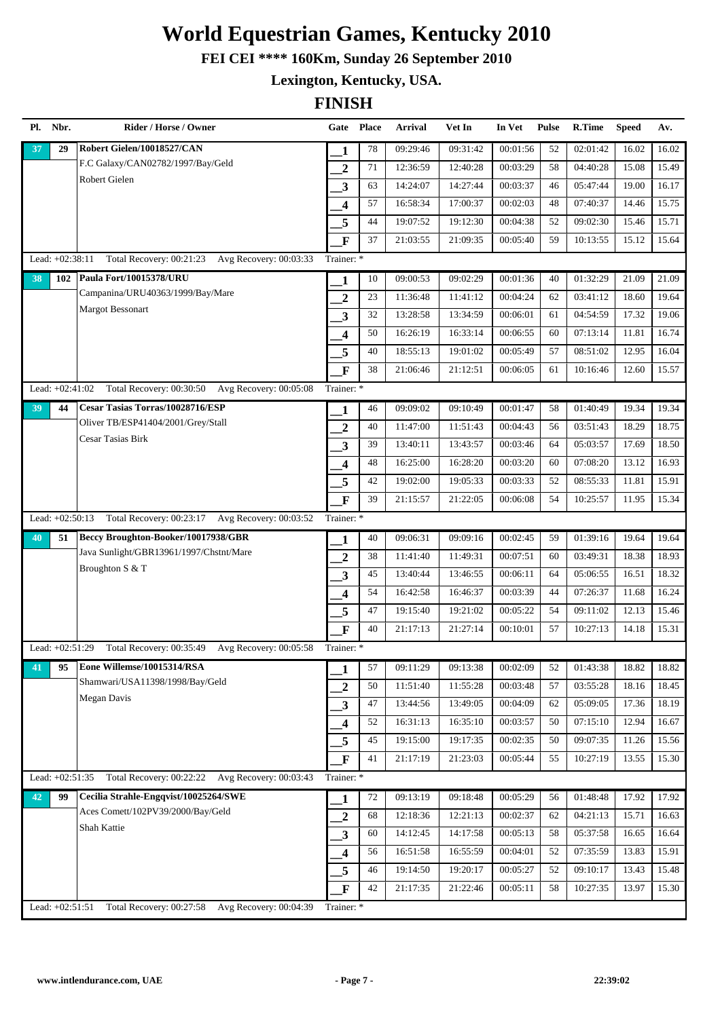**FEI CEI \*\*\*\* 160Km, Sunday 26 September 2010**

**Lexington, Kentucky, USA.**

| Pl. | Nbr.              | Rider / Horse / Owner                           | Gate Place              |        | <b>Arrival</b> | Vet In   | In Vet   | <b>Pulse</b> | <b>R.Time</b> | <b>Speed</b> | Av.   |
|-----|-------------------|-------------------------------------------------|-------------------------|--------|----------------|----------|----------|--------------|---------------|--------------|-------|
| 37  | 29                | Robert Gielen/10018527/CAN                      | 1                       | 78     | 09:29:46       | 09:31:42 | 00:01:56 | 52           | 02:01:42      | 16.02        | 16.02 |
|     |                   | F.C Galaxy/CAN02782/1997/Bay/Geld               | $\overline{2}$          | 71     | 12:36:59       | 12:40:28 | 00:03:29 | 58           | 04:40:28      | 15.08        | 15.49 |
|     |                   | Robert Gielen                                   | $\overline{\mathbf{3}}$ | 63     | 14:24:07       | 14:27:44 | 00:03:37 | 46           | 05:47:44      | 19.00        | 16.17 |
|     |                   |                                                 | $\overline{\mathbf{4}}$ | 57     | 16:58:34       | 17:00:37 | 00:02:03 | 48           | 07:40:37      | 14.46        | 15.75 |
|     |                   |                                                 | 5                       | 44     | 19:07:52       | 19:12:30 | 00:04:38 | 52           | 09:02:30      | 15.46        | 15.71 |
|     |                   |                                                 | $\mathbf{F}$            | 37     | 21:03:55       | 21:09:35 | 00:05:40 | 59           | 10:13:55      | 15.12        | 15.64 |
|     | Lead: +02:38:11   | Total Recovery: 00:21:23 Avg Recovery: 00:03:33 | Trainer: *              |        |                |          |          |              |               |              |       |
| 38  | 102               | Paula Fort/10015378/URU                         | 1                       | 10     | 09:00:53       | 09:02:29 | 00:01:36 | 40           | 01:32:29      | 21.09        | 21.09 |
|     |                   | Campanina/URU40363/1999/Bay/Mare                | $\overline{2}$          | 23     | 11:36:48       | 11:41:12 | 00:04:24 | 62           | 03:41:12      | 18.60        | 19.64 |
|     |                   | <b>Margot Bessonart</b>                         | 3                       | 32     | 13:28:58       | 13:34:59 | 00:06:01 | 61           | 04:54:59      | 17.32        | 19.06 |
|     |                   |                                                 | 4                       | 50     | 16:26:19       | 16:33:14 | 00:06:55 | 60           | 07:13:14      | 11.81        | 16.74 |
|     |                   |                                                 | 5                       | 40     | 18:55:13       | 19:01:02 | 00:05:49 | 57           | 08:51:02      | 12.95        | 16.04 |
|     |                   |                                                 | $\mathbf{F}$            | 38     | 21:06:46       | 21:12:51 | 00:06:05 | 61           | 10:16:46      | 12.60        | 15.57 |
|     | Lead: +02:41:02   | Total Recovery: 00:30:50 Avg Recovery: 00:05:08 | Trainer: *              |        |                |          |          |              |               |              |       |
| 39  | 44                | <b>Cesar Tasias Torras/10028716/ESP</b>         | 1                       | 46     | 09:09:02       | 09:10:49 | 00:01:47 | 58           | 01:40:49      | 19.34        | 19.34 |
|     |                   | Oliver TB/ESP41404/2001/Grey/Stall              | $\overline{2}$          | 40     | 11:47:00       | 11:51:43 | 00:04:43 | 56           | 03:51:43      | 18.29        | 18.75 |
|     |                   | Cesar Tasias Birk                               | 3                       | 39     | 13:40:11       | 13:43:57 | 00:03:46 | 64           | 05:03:57      | 17.69        | 18.50 |
|     |                   |                                                 | $\overline{\mathbf{4}}$ | 48     | 16:25:00       | 16:28:20 | 00:03:20 | 60           | 07:08:20      | 13.12        | 16.93 |
|     |                   |                                                 | 5                       | 42     | 19:02:00       | 19:05:33 | 00:03:33 | 52           | 08:55:33      | 11.81        | 15.91 |
|     |                   |                                                 | $\mathbf{F}$            | 39     | 21:15:57       | 21:22:05 | 00:06:08 | 54           | 10:25:57      | 11.95        | 15.34 |
|     | Lead: $+02:50:13$ | Total Recovery: 00:23:17 Avg Recovery: 00:03:52 | Trainer: *              |        |                |          |          |              |               |              |       |
| 40  | 51                | Beccy Broughton-Booker/10017938/GBR             | 1                       | 40     | 09:06:31       | 09:09:16 | 00:02:45 | 59           | 01:39:16      | 19.64        | 19.64 |
|     |                   | Java Sunlight/GBR13961/1997/Chstnt/Mare         | $\overline{2}$          | 38     | 11:41:40       | 11:49:31 | 00:07:51 | 60           | 03:49:31      | 18.38        | 18.93 |
|     |                   | Broughton S & T                                 | 3                       | 45     | 13:40:44       | 13:46:55 | 00:06:11 | 64           | 05:06:55      | 16.51        | 18.32 |
|     |                   |                                                 | 4                       | 54     | 16:42:58       | 16:46:37 | 00:03:39 | 44           | 07:26:37      | 11.68        | 16.24 |
|     |                   |                                                 | 5                       | 47     | 19:15:40       | 19:21:02 | 00:05:22 | 54           | 09:11:02      | 12.13        | 15.46 |
|     |                   |                                                 | $\mathbf F$             | 40     | 21:17:13       | 21:27:14 | 00:10:01 | 57           | 10:27:13      | 14.18        | 15.31 |
|     | Lead: +02:51:29   | Total Recovery: 00:35:49 Avg Recovery: 00:05:58 | Trainer: *              |        |                |          |          |              |               |              |       |
| 41  | 95                | Eone Willemse/10015314/RSA                      | 1                       | 57     | 09:11:29       | 09:13:38 | 00:02:09 | 52           | 01:43:38      | 18.82        | 18.82 |
|     |                   | Shamwari/USA11398/1998/Bay/Geld                 | $\boldsymbol{2}$        | 50     | 11:51:40       | 11:55:28 | 00:03:48 | 57           | 03:55:28      | 18.16        | 18.45 |
|     |                   | Megan Davis                                     | $\mathbf{3}$            | 47     | 13:44:56       | 13:49:05 | 00:04:09 | 62           | 05:09:05      | 17.36        | 18.19 |
|     |                   |                                                 | $\overline{\mathbf{4}}$ | 52     | 16:31:13       | 16:35:10 | 00:03:57 | 50           | 07:15:10      | 12.94        | 16.67 |
|     |                   |                                                 | 5                       | 45     | 19:15:00       | 19:17:35 | 00:02:35 | 50           | 09:07:35      | 11.26        | 15.56 |
|     |                   |                                                 | $\mathbf{F}$            | 41     | 21:17:19       | 21:23:03 | 00:05:44 | 55           | 10:27:19      | 13.55        | 15.30 |
|     | Lead: +02:51:35   | Total Recovery: 00:22:22 Avg Recovery: 00:03:43 | Trainer: *              |        |                |          |          |              |               |              |       |
| 42  | 99                | Cecilia Strahle-Engqvist/10025264/SWE           | 1                       | $72\,$ | 09:13:19       | 09:18:48 | 00:05:29 | 56           | 01:48:48      | 17.92        | 17.92 |
|     |                   | Aces Comett/102PV39/2000/Bay/Geld               | $\boldsymbol{2}$        | 68     | 12:18:36       | 12:21:13 | 00:02:37 | 62           | 04:21:13      | 15.71        | 16.63 |
|     |                   | Shah Kattie                                     | 3                       | 60     | 14:12:45       | 14:17:58 | 00:05:13 | 58           | 05:37:58      | 16.65        | 16.64 |
|     |                   |                                                 | 4                       | 56     | 16:51:58       | 16:55:59 | 00:04:01 | 52           | 07:35:59      | 13.83        | 15.91 |
|     |                   |                                                 | 5                       | 46     | 19:14:50       | 19:20:17 | 00:05:27 | 52           | 09:10:17      | 13.43        | 15.48 |
|     |                   |                                                 | $\mathbf{F}$            | 42     | 21:17:35       | 21:22:46 | 00:05:11 | 58           | 10:27:35      | 13.97        | 15.30 |
|     | Lead: +02:51:51   | Total Recovery: 00:27:58 Avg Recovery: 00:04:39 | Trainer: *              |        |                |          |          |              |               |              |       |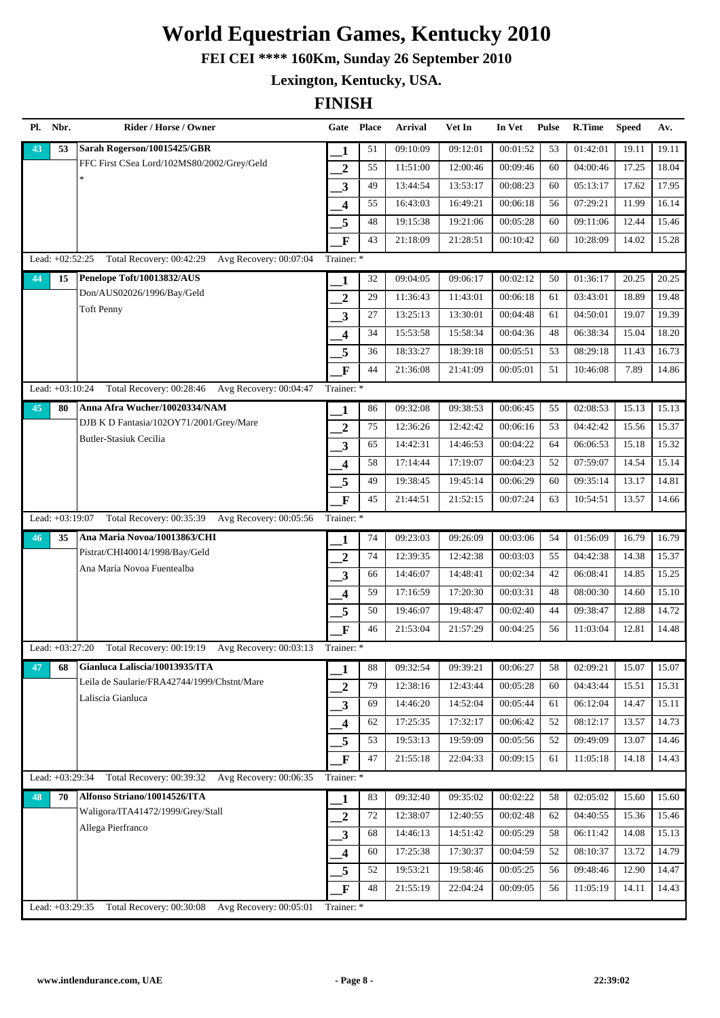**FEI CEI \*\*\*\* 160Km, Sunday 26 September 2010**

**Lexington, Kentucky, USA.**

| Pl. | Nbr.              | Rider / Horse / Owner                              |                         | Gate Place | Arrival  | Vet In   | In Vet   | <b>Pulse</b> | R.Time   | <b>Speed</b> | Av.   |
|-----|-------------------|----------------------------------------------------|-------------------------|------------|----------|----------|----------|--------------|----------|--------------|-------|
| 43  | 53                | Sarah Rogerson/10015425/GBR                        | 1                       | 51         | 09:10:09 | 09:12:01 | 00:01:52 | 53           | 01:42:01 | 19.11        | 19.11 |
|     |                   | FFC First CSea Lord/102MS80/2002/Grey/Geld         | 2                       | 55         | 11:51:00 | 12:00:46 | 00:09:46 | 60           | 04:00:46 | 17.25        | 18.04 |
|     |                   | ×.                                                 | 3                       | 49         | 13:44:54 | 13:53:17 | 00:08:23 | 60           | 05:13:17 | 17.62        | 17.95 |
|     |                   |                                                    | 4                       | 55         | 16:43:03 | 16:49:21 | 00:06:18 | 56           | 07:29:21 | 11.99        | 16.14 |
|     |                   |                                                    | 5                       | 48         | 19:15:38 | 19:21:06 | 00:05:28 | 60           | 09:11:06 | 12.44        | 15.46 |
|     |                   |                                                    | $\mathbf F$             | 43         | 21:18:09 | 21:28:51 | 00:10:42 | 60           | 10:28:09 | 14.02        | 15.28 |
|     | Lead: +02:52:25   | Total Recovery: 00:42:29<br>Avg Recovery: 00:07:04 | Trainer: *              |            |          |          |          |              |          |              |       |
| 44  | 15                | Penelope Toft/10013832/AUS                         | 1                       | 32         | 09:04:05 | 09:06:17 | 00:02:12 | 50           | 01:36:17 | 20.25        | 20.25 |
|     |                   | Don/AUS02026/1996/Bay/Geld                         | $\overline{2}$          | 29         | 11:36:43 | 11:43:01 | 00:06:18 | 61           | 03:43:01 | 18.89        | 19.48 |
|     |                   | <b>Toft Penny</b>                                  | 3                       | 27         | 13:25:13 | 13:30:01 | 00:04:48 | 61           | 04:50:01 | 19.07        | 19.39 |
|     |                   |                                                    | $\overline{\mathbf{4}}$ | 34         | 15:53:58 | 15:58:34 | 00:04:36 | 48           | 06:38:34 | 15.04        | 18.20 |
|     |                   |                                                    | 5                       | 36         | 18:33:27 | 18:39:18 | 00:05:51 | 53           | 08:29:18 | 11.43        | 16.73 |
|     |                   |                                                    | $\mathbf F$             | 44         | 21:36:08 | 21:41:09 | 00:05:01 | 51           | 10:46:08 | 7.89         | 14.86 |
|     | Lead: +03:10:24   | Total Recovery: 00:28:46 Avg Recovery: 00:04:47    | Trainer: *              |            |          |          |          |              |          |              |       |
| 45  | 80                | Anna Afra Wucher/10020334/NAM                      | 1                       | 86         | 09:32:08 | 09:38:53 | 00:06:45 | 55           | 02:08:53 | 15.13        | 15.13 |
|     |                   | DJB K D Fantasia/102OY71/2001/Grey/Mare            | $\overline{2}$          | 75         | 12:36:26 | 12:42:42 | 00:06:16 | 53           | 04:42:42 | 15.56        | 15.37 |
|     |                   | <b>Butler-Stasiuk Cecilia</b>                      | 3                       | 65         | 14:42:31 | 14:46:53 | 00:04:22 | 64           | 06:06:53 | 15.18        | 15.32 |
|     |                   |                                                    | 4                       | 58         | 17:14:44 | 17:19:07 | 00:04:23 | 52           | 07:59:07 | 14.54        | 15.14 |
|     |                   |                                                    | 5                       | 49         | 19:38:45 | 19:45:14 | 00:06:29 | 60           | 09:35:14 | 13.17        | 14.81 |
|     |                   |                                                    | $\mathbf{F}$            | 45         | 21:44:51 | 21:52:15 | 00:07:24 | 63           | 10:54:51 | 13.57        | 14.66 |
|     | Lead: +03:19:07   | Total Recovery: 00:35:39<br>Avg Recovery: 00:05:56 | Trainer: *              |            |          |          |          |              |          |              |       |
| 46  | 35                | Ana Maria Novoa/10013863/CHI                       | 1                       | 74         | 09:23:03 | 09:26:09 | 00:03:06 | 54           | 01:56:09 | 16.79        | 16.79 |
|     |                   | Pistrat/CHI40014/1998/Bay/Geld                     | $\overline{2}$          | 74         | 12:39:35 | 12:42:38 | 00:03:03 | 55           | 04:42:38 | 14.38        | 15.37 |
|     |                   | Ana María Novoa Fuentealba                         | 3                       | 66         | 14:46:07 | 14:48:41 | 00:02:34 | 42           | 06:08:41 | 14.85        | 15.25 |
|     |                   |                                                    | $\overline{\mathbf{4}}$ | 59         | 17:16:59 | 17:20:30 | 00:03:31 | 48           | 08:00:30 | 14.60        | 15.10 |
|     |                   |                                                    | 5                       | 50         | 19:46:07 | 19:48:47 | 00:02:40 | 44           | 09:38:47 | 12.88        | 14.72 |
|     |                   |                                                    | $\mathbf F$             | 46         | 21:53:04 | 21:57:29 | 00:04:25 | 56           | 11:03:04 | 12.81        | 14.48 |
|     | Lead: +03:27:20   | Total Recovery: 00:19:19 Avg Recovery: 00:03:13    | Trainer: *              |            |          |          |          |              |          |              |       |
| 47  | 68                | Gianluca Laliscia/10013935/ITA                     | 1                       | 88         | 09:32:54 | 09:39:21 | 00:06:27 | 58           | 02:09:21 | 15.07        | 15.07 |
|     |                   | Leila de Saularie/FRA42744/1999/Chstnt/Mare        | $\mathbf{2}$            | 79         | 12:38:16 | 12:43:44 | 00:05:28 | 60           | 04:43:44 | 15.51        | 15.31 |
|     |                   | Laliscia Gianluca                                  | 3                       | 69         | 14:46:20 | 14:52:04 | 00:05:44 | 61           | 06:12:04 | 14.47        | 15.11 |
|     |                   |                                                    | $\overline{\mathbf{4}}$ | 62         | 17:25:35 | 17:32:17 | 00:06:42 | 52           | 08:12:17 | 13.57        | 14.73 |
|     |                   |                                                    | 5                       | 53         | 19:53:13 | 19:59:09 | 00:05:56 | 52           | 09:49:09 | 13.07        | 14.46 |
|     |                   |                                                    | $\mathbf{F}$            | 47         | 21:55:18 | 22:04:33 | 00:09:15 | 61           | 11:05:18 | 14.18        | 14.43 |
|     | Lead: $+03:29:34$ | Total Recovery: 00:39:32<br>Avg Recovery: 00:06:35 | Trainer: *              |            |          |          |          |              |          |              |       |
| 48  | 70                | Alfonso Striano/10014526/ITA                       | 1                       | 83         | 09:32:40 | 09:35:02 | 00:02:22 | 58           | 02:05:02 | 15.60        | 15.60 |
|     |                   | Waligora/ITA41472/1999/Grey/Stall                  | $\boldsymbol{2}$        | 72         | 12:38:07 | 12:40:55 | 00:02:48 | 62           | 04:40:55 | 15.36        | 15.46 |
|     |                   | Allega Pierfranco                                  | 3                       | 68         | 14:46:13 | 14:51:42 | 00:05:29 | 58           | 06:11:42 | 14.08        | 15.13 |
|     |                   |                                                    | $\overline{\mathbf{4}}$ | 60         | 17:25:38 | 17:30:37 | 00:04:59 | 52           | 08:10:37 | 13.72        | 14.79 |
|     |                   |                                                    | 5                       | 52         | 19:53:21 | 19:58:46 | 00:05:25 | 56           | 09:48:46 | 12.90        | 14.47 |
|     |                   |                                                    | $\mathbf{F}$            | 48         | 21:55:19 | 22:04:24 | 00:09:05 | 56           | 11:05:19 | 14.11        | 14.43 |
|     | Lead: +03:29:35   | Total Recovery: 00:30:08<br>Avg Recovery: 00:05:01 | Trainer: *              |            |          |          |          |              |          |              |       |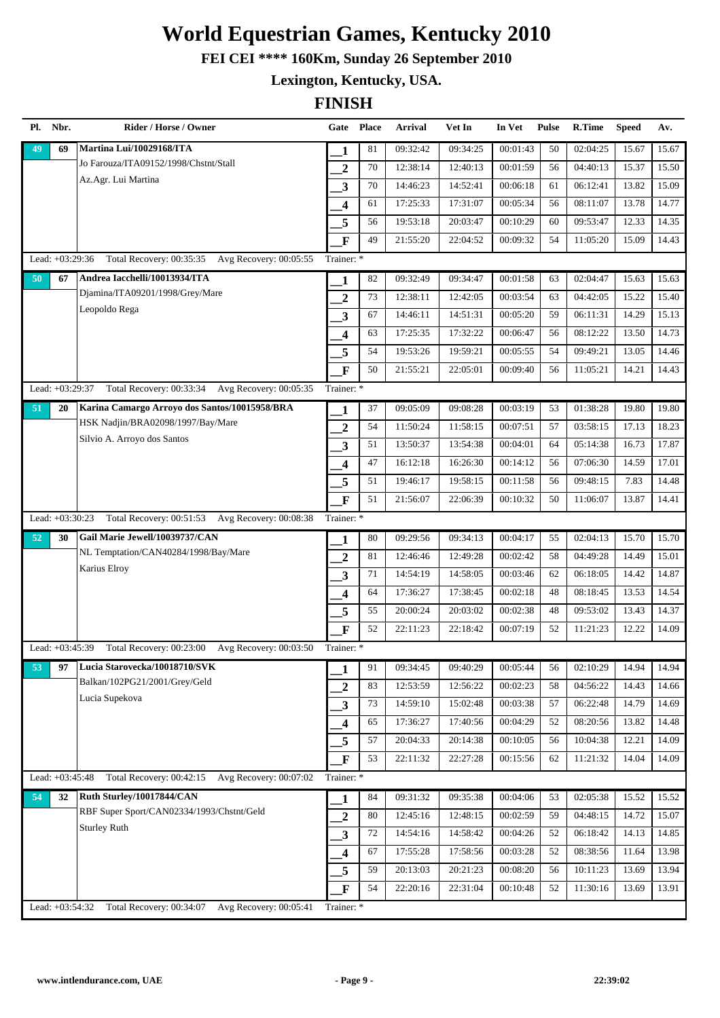**FEI CEI \*\*\*\* 160Km, Sunday 26 September 2010**

**Lexington, Kentucky, USA.**

| Pl. | Nbr.              | Rider / Horse / Owner                              | Gate Place              |    | <b>Arrival</b> | Vet In   | In Vet   | <b>Pulse</b> | R.Time   | <b>Speed</b> | Av.   |
|-----|-------------------|----------------------------------------------------|-------------------------|----|----------------|----------|----------|--------------|----------|--------------|-------|
| 49  | 69                | Martina Lui/10029168/ITA                           | 1                       | 81 | 09:32:42       | 09:34:25 | 00:01:43 | 50           | 02:04:25 | 15.67        | 15.67 |
|     |                   | Jo Farouza/ITA09152/1998/Chstnt/Stall              | $\overline{2}$          | 70 | 12:38:14       | 12:40:13 | 00:01:59 | 56           | 04:40:13 | 15.37        | 15.50 |
|     |                   | Az.Agr. Lui Martina                                | $\overline{\mathbf{3}}$ | 70 | 14:46:23       | 14:52:41 | 00:06:18 | 61           | 06:12:41 | 13.82        | 15.09 |
|     |                   |                                                    | $\overline{\mathbf{4}}$ | 61 | 17:25:33       | 17:31:07 | 00:05:34 | 56           | 08:11:07 | 13.78        | 14.77 |
|     |                   |                                                    | 5                       | 56 | 19:53:18       | 20:03:47 | 00:10:29 | 60           | 09:53:47 | 12.33        | 14.35 |
|     |                   |                                                    | $\mathbf{F}$            | 49 | 21:55:20       | 22:04:52 | 00:09:32 | 54           | 11:05:20 | 15.09        | 14.43 |
|     | Lead: +03:29:36   | Total Recovery: 00:35:35 Avg Recovery: 00:05:55    | Trainer: *              |    |                |          |          |              |          |              |       |
| 50  | 67                | Andrea Iacchelli/10013934/ITA                      | 1                       | 82 | 09:32:49       | 09:34:47 | 00:01:58 | 63           | 02:04:47 | 15.63        | 15.63 |
|     |                   | Djamina/ITA09201/1998/Grey/Mare                    | $\overline{2}$          | 73 | 12:38:11       | 12:42:05 | 00:03:54 | 63           | 04:42:05 | 15.22        | 15.40 |
|     |                   | Leopoldo Rega                                      | 3                       | 67 | 14:46:11       | 14:51:31 | 00:05:20 | 59           | 06:11:31 | 14.29        | 15.13 |
|     |                   |                                                    | 4                       | 63 | 17:25:35       | 17:32:22 | 00:06:47 | 56           | 08:12:22 | 13.50        | 14.73 |
|     |                   |                                                    | 5                       | 54 | 19:53:26       | 19:59:21 | 00:05:55 | 54           | 09:49:21 | 13.05        | 14.46 |
|     |                   |                                                    | F                       | 50 | 21:55:21       | 22:05:01 | 00:09:40 | 56           | 11:05:21 | 14.21        | 14.43 |
|     | Lead: +03:29:37   | Total Recovery: 00:33:34 Avg Recovery: 00:05:35    | Trainer: *              |    |                |          |          |              |          |              |       |
| 51  | 20                | Karina Camargo Arroyo dos Santos/10015958/BRA      | 1                       | 37 | 09:05:09       | 09:08:28 | 00:03:19 | 53           | 01:38:28 | 19.80        | 19.80 |
|     |                   | HSK Nadjin/BRA02098/1997/Bay/Mare                  | $\overline{2}$          | 54 | 11:50:24       | 11:58:15 | 00:07:51 | 57           | 03:58:15 | 17.13        | 18.23 |
|     |                   | Silvio A. Arroyo dos Santos                        | 3                       | 51 | 13:50:37       | 13:54:38 | 00:04:01 | 64           | 05:14:38 | 16.73        | 17.87 |
|     |                   |                                                    | $\overline{\mathbf{4}}$ | 47 | 16:12:18       | 16:26:30 | 00:14:12 | 56           | 07:06:30 | 14.59        | 17.01 |
|     |                   |                                                    | 5                       | 51 | 19:46:17       | 19:58:15 | 00:11:58 | 56           | 09:48:15 | 7.83         | 14.48 |
|     |                   |                                                    | $\mathbf{F}$            | 51 | 21:56:07       | 22:06:39 | 00:10:32 | 50           | 11:06:07 | 13.87        | 14.41 |
|     | Lead: $+03:30:23$ | Total Recovery: 00:51:53 Avg Recovery: 00:08:38    | Trainer: *              |    |                |          |          |              |          |              |       |
| 52  | 30                | Gail Marie Jewell/10039737/CAN                     | 1                       | 80 | 09:29:56       | 09:34:13 | 00:04:17 | 55           | 02:04:13 | 15.70        | 15.70 |
|     |                   | NL Temptation/CAN40284/1998/Bay/Mare               | $\overline{2}$          | 81 | 12:46:46       | 12:49:28 | 00:02:42 | 58           | 04:49:28 | 14.49        | 15.01 |
|     |                   | Karius Elroy                                       | 3                       | 71 | 14:54:19       | 14:58:05 | 00:03:46 | 62           | 06:18:05 | 14.42        | 14.87 |
|     |                   |                                                    | 4                       | 64 | 17:36:27       | 17:38:45 | 00:02:18 | 48           | 08:18:45 | 13.53        | 14.54 |
|     |                   |                                                    | 5                       | 55 | 20:00:24       | 20:03:02 | 00:02:38 | 48           | 09:53:02 | 13.43        | 14.37 |
|     |                   |                                                    | $\mathbf F$             | 52 | 22:11:23       | 22:18:42 | 00:07:19 | 52           | 11:21:23 | 12.22        | 14.09 |
|     | Lead: +03:45:39   | Total Recovery: 00:23:00<br>Avg Recovery: 00:03:50 | Trainer: *              |    |                |          |          |              |          |              |       |
| 53  | 97                | Lucia Starovecka/10018710/SVK                      | 1                       | 91 | 09:34:45       | 09:40:29 | 00:05:44 | 56           | 02:10:29 | 14.94        | 14.94 |
|     |                   | Balkan/102PG21/2001/Grey/Geld                      | $\overline{2}$          | 83 | 12:53:59       | 12:56:22 | 00:02:23 | 58           | 04:56:22 | 14.43        | 14.66 |
|     |                   | Lucia Supekova                                     | $\mathbf{3}$            | 73 | 14:59:10       | 15:02:48 | 00:03:38 | 57           | 06:22:48 | 14.79        | 14.69 |
|     |                   |                                                    | $\overline{\mathbf{4}}$ | 65 | 17:36:27       | 17:40:56 | 00:04:29 | 52           | 08:20:56 | 13.82        | 14.48 |
|     |                   |                                                    | 5                       | 57 | 20:04:33       | 20:14:38 | 00:10:05 | 56           | 10:04:38 | 12.21        | 14.09 |
|     |                   |                                                    | $\mathbf F$             | 53 | 22:11:32       | 22:27:28 | 00:15:56 | 62           | 11:21:32 | 14.04        | 14.09 |
|     | Lead: +03:45:48   | Avg Recovery: 00:07:02<br>Total Recovery: 00:42:15 | Trainer: *              |    |                |          |          |              |          |              |       |
| 54  | 32                | Ruth Sturley/10017844/CAN                          | 1                       | 84 | 09:31:32       | 09:35:38 | 00:04:06 | 53           | 02:05:38 | 15.52        | 15.52 |
|     |                   | RBF Super Sport/CAN02334/1993/Chstnt/Geld          | $\boldsymbol{2}$        | 80 | 12:45:16       | 12:48:15 | 00:02:59 | 59           | 04:48:15 | 14.72        | 15.07 |
|     |                   | <b>Sturley Ruth</b>                                | 3                       | 72 | 14:54:16       | 14:58:42 | 00:04:26 | 52           | 06:18:42 | 14.13        | 14.85 |
|     |                   |                                                    | $\overline{\mathbf{4}}$ | 67 | 17:55:28       | 17:58:56 | 00:03:28 | 52           | 08:38:56 | 11.64        | 13.98 |
|     |                   |                                                    | 5                       | 59 | 20:13:03       | 20:21:23 | 00:08:20 | 56           | 10:11:23 | 13.69        | 13.94 |
|     |                   |                                                    | $\mathbf{F}$            | 54 | 22:20:16       | 22:31:04 | 00:10:48 | 52           | 11:30:16 | 13.69        | 13.91 |
|     | Lead: +03:54:32   | Total Recovery: 00:34:07<br>Avg Recovery: 00:05:41 | Trainer: *              |    |                |          |          |              |          |              |       |